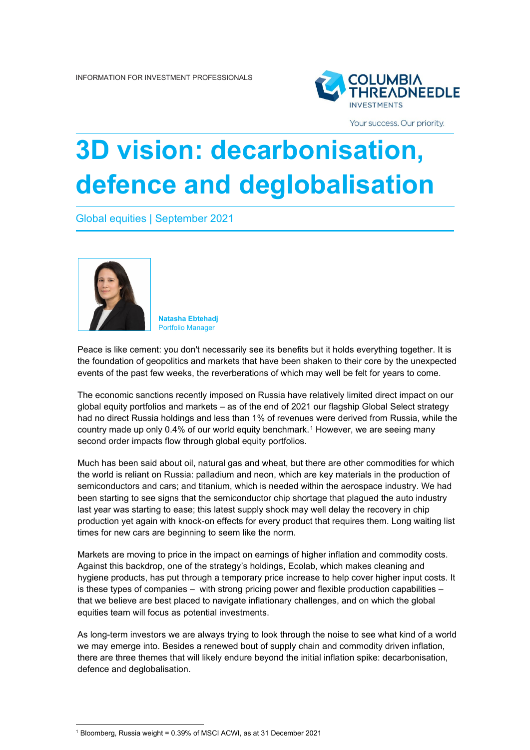

Your success. Our priority.

## **3D vision: decarbonisation, defence and deglobalisation**

Global equities | September 2021



**Natasha Ebtehadj** Portfolio Manager

Peace is like cement: you don't necessarily see its benefits but it holds everything together. It is the foundation of geopolitics and markets that have been shaken to their core by the unexpected events of the past few weeks, the reverberations of which may well be felt for years to come.

The economic sanctions recently imposed on Russia have relatively limited direct impact on our global equity portfolios and markets – as of the end of 2021 our flagship Global Select strategy had no direct Russia holdings and less than 1% of revenues were derived from Russia, while the country made up only 0.4% of our world equity benchmark.[1](#page-0-0) However, we are seeing many second order impacts flow through global equity portfolios.

Much has been said about oil, natural gas and wheat, but there are other commodities for which the world is reliant on Russia: palladium and neon, which are key materials in the production of semiconductors and cars; and titanium, which is needed within the aerospace industry. We had been starting to see signs that the semiconductor chip shortage that plagued the auto industry last year was starting to ease; this latest supply shock may well delay the recovery in chip production yet again with knock-on effects for every product that requires them. Long waiting list times for new cars are beginning to seem like the norm.

Markets are moving to price in the impact on earnings of higher inflation and commodity costs. Against this backdrop, one of the strategy's holdings, Ecolab, which makes cleaning and hygiene products, has put through a temporary price increase to help cover higher input costs. It is these types of companies – with strong pricing power and flexible production capabilities – that we believe are best placed to navigate inflationary challenges, and on which the global equities team will focus as potential investments.

As long-term investors we are always trying to look through the noise to see what kind of a world we may emerge into. Besides a renewed bout of supply chain and commodity driven inflation, there are three themes that will likely endure beyond the initial inflation spike: decarbonisation, defence and deglobalisation.

<span id="page-0-0"></span><sup>1</sup> Bloomberg, Russia weight = 0.39% of MSCI ACWI, as at 31 December 2021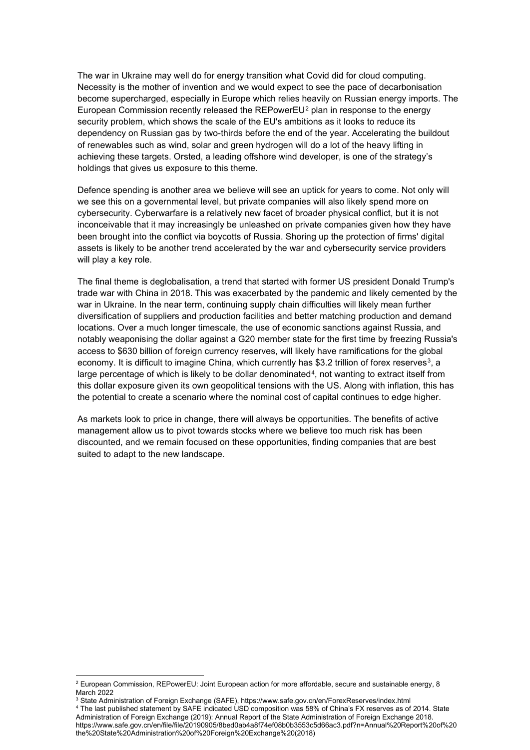The war in Ukraine may well do for energy transition what Covid did for cloud computing. Necessity is the mother of invention and we would expect to see the pace of decarbonisation become supercharged, especially in Europe which relies heavily on Russian energy imports. The European Commission recently released the REPowerEU<sup>[2](#page-1-0)</sup> plan in response to the energy security problem, which shows the scale of the EU's ambitions as it looks to reduce its dependency on Russian gas by two-thirds before the end of the year. Accelerating the buildout of renewables such as wind, solar and green hydrogen will do a lot of the heavy lifting in achieving these targets. Orsted, a leading offshore wind developer, is one of the strategy's holdings that gives us exposure to this theme.

Defence spending is another area we believe will see an uptick for years to come. Not only will we see this on a governmental level, but private companies will also likely spend more on cybersecurity. Cyberwarfare is a relatively new facet of broader physical conflict, but it is not inconceivable that it may increasingly be unleashed on private companies given how they have been brought into the conflict via boycotts of Russia. Shoring up the protection of firms' digital assets is likely to be another trend accelerated by the war and cybersecurity service providers will play a key role.

The final theme is deglobalisation, a trend that started with former US president Donald Trump's trade war with China in 2018. This was exacerbated by the pandemic and likely cemented by the war in Ukraine. In the near term, continuing supply chain difficulties will likely mean further diversification of suppliers and production facilities and better matching production and demand locations. Over a much longer timescale, the use of economic sanctions against Russia, and notably weaponising the dollar against a G20 member state for the first time by freezing Russia's access to \$630 billion of foreign currency reserves, will likely have ramifications for the global economy. It is difficult to imagine China, which currently has \$[3](#page-1-1).2 trillion of forex reserves<sup>3</sup>, a large percentage of which is likely to be dollar denominated<sup>4</sup>, not wanting to extract itself from this dollar exposure given its own geopolitical tensions with the US. Along with inflation, this has the potential to create a scenario where the nominal cost of capital continues to edge higher.

As markets look to price in change, there will always be opportunities. The benefits of active management allow us to pivot towards stocks where we believe too much risk has been discounted, and we remain focused on these opportunities, finding companies that are best suited to adapt to the new landscape.

<span id="page-1-0"></span><sup>&</sup>lt;sup>2</sup> European Commission, REPowerEU: Joint European action for more affordable, secure and sustainable energy, 8 March 2022

<span id="page-1-1"></span><sup>3</sup> State Administration of Foreign Exchange (SAFE), https://www.safe.gov.cn/en/ForexReserves/index.html

<span id="page-1-2"></span><sup>4</sup> The last published statement by SAFE indicated USD composition was 58% of China's FX reserves as of 2014. State Administration of Foreign Exchange (2019): Annual Report of the State Administration of Foreign Exchange 2018. https://www.safe.gov.cn/en/file/file/20190905/8bed0ab4a8f74ef08b0b3553c5d66ac3.pdf?n=Annual%20Report%20of%20 the%20State%20Administration%20of%20Foreign%20Exchange%20(2018)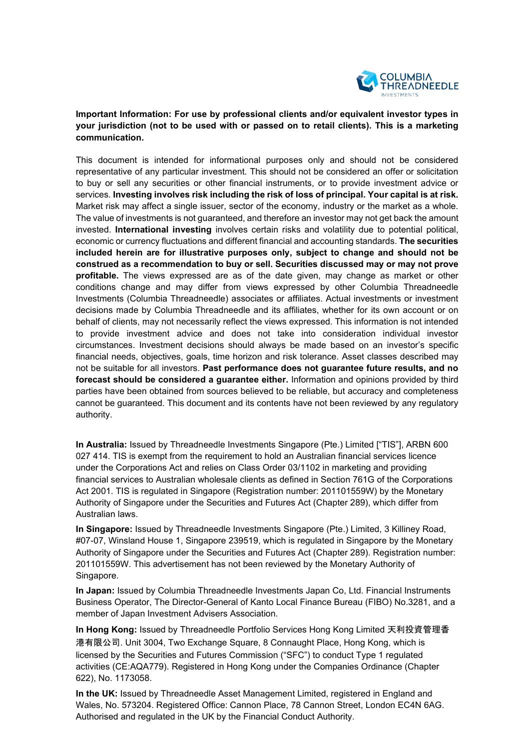

## **Important Information: For use by professional clients and/or equivalent investor types in your jurisdiction (not to be used with or passed on to retail clients). This is a marketing communication.**

This document is intended for informational purposes only and should not be considered representative of any particular investment. This should not be considered an offer or solicitation to buy or sell any securities or other financial instruments, or to provide investment advice or services. **Investing involves risk including the risk of loss of principal. Your capital is at risk.** Market risk may affect a single issuer, sector of the economy, industry or the market as a whole. The value of investments is not guaranteed, and therefore an investor may not get back the amount invested. **International investing** involves certain risks and volatility due to potential political, economic or currency fluctuations and different financial and accounting standards. **The securities included herein are for illustrative purposes only, subject to change and should not be construed as a recommendation to buy or sell. Securities discussed may or may not prove profitable.** The views expressed are as of the date given, may change as market or other conditions change and may differ from views expressed by other Columbia Threadneedle Investments (Columbia Threadneedle) associates or affiliates. Actual investments or investment decisions made by Columbia Threadneedle and its affiliates, whether for its own account or on behalf of clients, may not necessarily reflect the views expressed. This information is not intended to provide investment advice and does not take into consideration individual investor circumstances. Investment decisions should always be made based on an investor's specific financial needs, objectives, goals, time horizon and risk tolerance. Asset classes described may not be suitable for all investors. **Past performance does not guarantee future results, and no forecast should be considered a guarantee either.** Information and opinions provided by third parties have been obtained from sources believed to be reliable, but accuracy and completeness cannot be guaranteed. This document and its contents have not been reviewed by any regulatory authority.

**In Australia:** Issued by Threadneedle Investments Singapore (Pte.) Limited ["TIS"], ARBN 600 027 414. TIS is exempt from the requirement to hold an Australian financial services licence under the Corporations Act and relies on Class Order 03/1102 in marketing and providing financial services to Australian wholesale clients as defined in Section 761G of the Corporations Act 2001. TIS is regulated in Singapore (Registration number: 201101559W) by the Monetary Authority of Singapore under the Securities and Futures Act (Chapter 289), which differ from Australian laws.

**In Singapore:** Issued by Threadneedle Investments Singapore (Pte.) Limited, 3 Killiney Road, #07-07, Winsland House 1, Singapore 239519, which is regulated in Singapore by the Monetary Authority of Singapore under the Securities and Futures Act (Chapter 289). Registration number: 201101559W. This advertisement has not been reviewed by the Monetary Authority of Singapore.

**In Japan:** Issued by Columbia Threadneedle Investments Japan Co, Ltd. Financial Instruments Business Operator, The Director-General of Kanto Local Finance Bureau (FIBO) No.3281, and a member of Japan Investment Advisers Association.

**In Hong Kong:** Issued by Threadneedle Portfolio Services Hong Kong Limited 天利投資管理香 港有限公司. Unit 3004, Two Exchange Square, 8 Connaught Place, Hong Kong, which is licensed by the Securities and Futures Commission ("SFC") to conduct Type 1 regulated activities (CE:AQA779). Registered in Hong Kong under the Companies Ordinance (Chapter 622), No. 1173058.

**In the UK:** Issued by Threadneedle Asset Management Limited, registered in England and Wales, No. 573204. Registered Office: Cannon Place, 78 Cannon Street, London EC4N 6AG. Authorised and regulated in the UK by the Financial Conduct Authority.